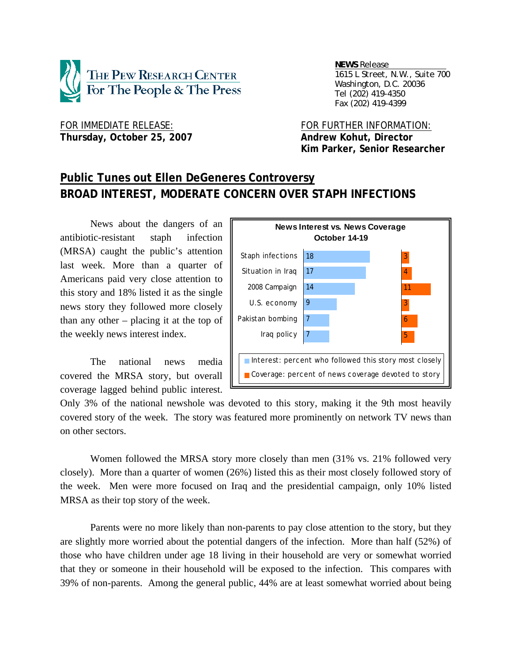

 *NEWS Release . 1615 L Street, N.W., Suite 700 Washington, D.C. 20036 Tel (202) 419-4350 Fax (202) 419-4399*

FOR IMMEDIATE RELEASE: FOR FURTHER INFORMATION: Thursday, October 25, 2007 **Andrew Kohut, Director** 

 **Kim Parker, Senior Researcher** 

# **Public Tunes out Ellen DeGeneres Controversy BROAD INTEREST, MODERATE CONCERN OVER STAPH INFECTIONS**

News about the dangers of an antibiotic-resistant staph infection (MRSA) caught the public's attention last week. More than a quarter of Americans paid very close attention to this story and 18% listed it as the single news story they followed more closely than any other – placing it at the top of the weekly news interest index.

The national news media covered the MRSA story, but overall coverage lagged behind public interest.



Only 3% of the national newshole was devoted to this story, making it the 9th most heavily covered story of the week. The story was featured more prominently on network TV news than on other sectors.

Women followed the MRSA story more closely than men (31% vs. 21% followed very closely). More than a quarter of women (26%) listed this as their most closely followed story of the week. Men were more focused on Iraq and the presidential campaign, only 10% listed MRSA as their top story of the week.

 Parents were no more likely than non-parents to pay close attention to the story, but they are slightly more worried about the potential dangers of the infection. More than half (52%) of those who have children under age 18 living in their household are very or somewhat worried that they or someone in their household will be exposed to the infection. This compares with 39% of non-parents. Among the general public, 44% are at least somewhat worried about being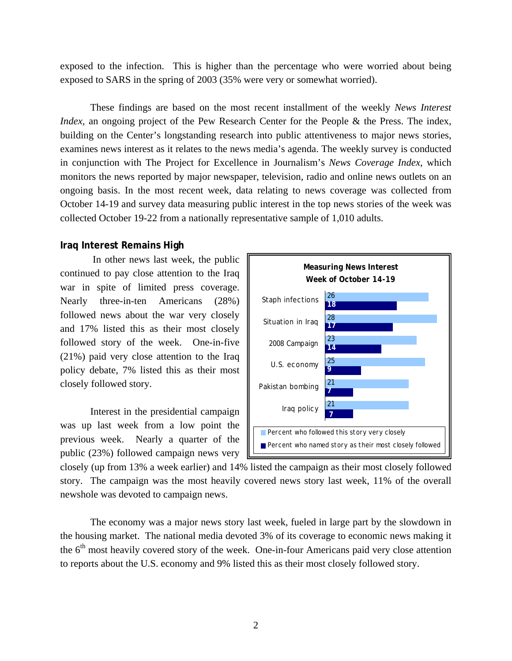exposed to the infection. This is higher than the percentage who were worried about being exposed to SARS in the spring of 2003 (35% were very or somewhat worried).

 These findings are based on the most recent installment of the weekly *News Interest Index*, an ongoing project of the Pew Research Center for the People & the Press. The index, building on the Center's longstanding research into public attentiveness to major news stories, examines news interest as it relates to the news media's agenda. The weekly survey is conducted in conjunction with The Project for Excellence in Journalism's *News Coverage Index*, which monitors the news reported by major newspaper, television, radio and online news outlets on an ongoing basis. In the most recent week, data relating to news coverage was collected from October 14-19 and survey data measuring public interest in the top news stories of the week was collected October 19-22 from a nationally representative sample of 1,010 adults.

#### **Iraq Interest Remains High**

 In other news last week, the public continued to pay close attention to the Iraq war in spite of limited press coverage. Nearly three-in-ten Americans (28%) followed news about the war very closely and 17% listed this as their most closely followed story of the week. One-in-five (21%) paid very close attention to the Iraq policy debate, 7% listed this as their most closely followed story.

Interest in the presidential campaign was up last week from a low point the previous week. Nearly a quarter of the public (23%) followed campaign news very



closely (up from 13% a week earlier) and 14% listed the campaign as their most closely followed story. The campaign was the most heavily covered news story last week, 11% of the overall newshole was devoted to campaign news.

The economy was a major news story last week, fueled in large part by the slowdown in the housing market. The national media devoted 3% of its coverage to economic news making it the 6<sup>th</sup> most heavily covered story of the week. One-in-four Americans paid very close attention to reports about the U.S. economy and 9% listed this as their most closely followed story.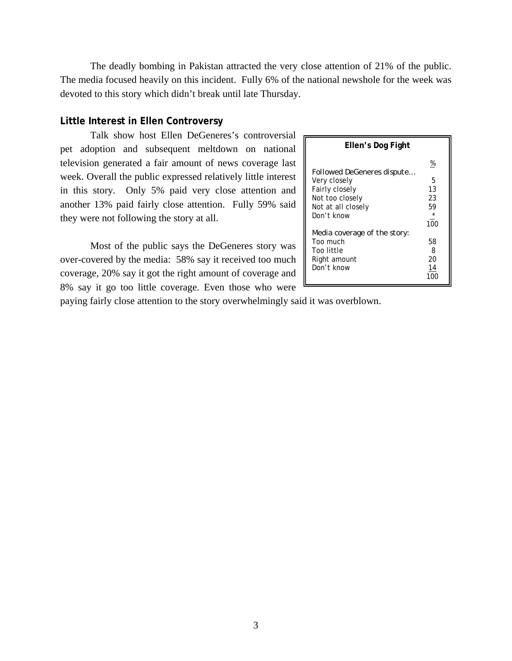The deadly bombing in Pakistan attracted the very close attention of 21% of the public. The media focused heavily on this incident. Fully 6% of the national newshole for the week was devoted to this story which didn't break until late Thursday.

#### **Little Interest in Ellen Controversy**

 Talk show host Ellen DeGeneres's controversial pet adoption and subsequent meltdown on national television generated a fair amount of news coverage last week. Overall the public expressed relatively little interest in this story. Only 5% paid very close attention and another 13% paid fairly close attention. Fully 59% said they were not following the story at all.

 Most of the public says the DeGeneres story was over-covered by the media: 58% say it received too much coverage, 20% say it got the right amount of coverage and 8% say it go too little coverage. Even those who were

| Ellen's Dog Fight                                                                                                          |                                            |  |  |  |
|----------------------------------------------------------------------------------------------------------------------------|--------------------------------------------|--|--|--|
| <b>Followed DeGeneres dispute</b><br>Very closely<br>Fairly closely<br>Not too closely<br>Not at all closely<br>Don't know | %<br>5<br>13<br>23<br>59<br>$\star$<br>100 |  |  |  |
| Media coverage of the story:<br>Too much<br>Too little<br>Right amount<br>Don't know                                       | 58<br>8<br>20<br>14                        |  |  |  |

paying fairly close attention to the story overwhelmingly said it was overblown.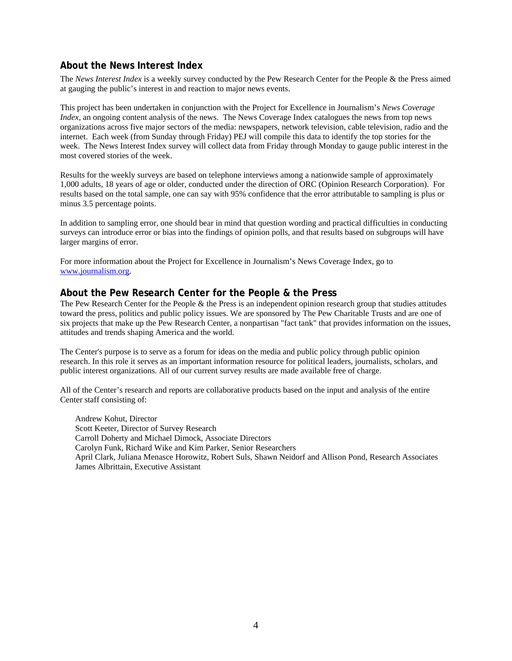# **About the News Interest Index**

The *News Interest Index* is a weekly survey conducted by the Pew Research Center for the People & the Press aimed at gauging the public's interest in and reaction to major news events.

This project has been undertaken in conjunction with the Project for Excellence in Journalism's *News Coverage Index*, an ongoing content analysis of the news. The News Coverage Index catalogues the news from top news organizations across five major sectors of the media: newspapers, network television, cable television, radio and the internet. Each week (from Sunday through Friday) PEJ will compile this data to identify the top stories for the week. The News Interest Index survey will collect data from Friday through Monday to gauge public interest in the most covered stories of the week.

Results for the weekly surveys are based on telephone interviews among a nationwide sample of approximately 1,000 adults, 18 years of age or older, conducted under the direction of ORC (Opinion Research Corporation). For results based on the total sample, one can say with 95% confidence that the error attributable to sampling is plus or minus 3.5 percentage points.

In addition to sampling error, one should bear in mind that question wording and practical difficulties in conducting surveys can introduce error or bias into the findings of opinion polls, and that results based on subgroups will have larger margins of error.

For more information about the Project for Excellence in Journalism's News Coverage Index, go to www.journalism.org.

#### **About the Pew Research Center for the People & the Press**

The Pew Research Center for the People & the Press is an independent opinion research group that studies attitudes toward the press, politics and public policy issues. We are sponsored by The Pew Charitable Trusts and are one of six projects that make up the Pew Research Center, a nonpartisan "fact tank" that provides information on the issues, attitudes and trends shaping America and the world.

The Center's purpose is to serve as a forum for ideas on the media and public policy through public opinion research. In this role it serves as an important information resource for political leaders, journalists, scholars, and public interest organizations. All of our current survey results are made available free of charge.

All of the Center's research and reports are collaborative products based on the input and analysis of the entire Center staff consisting of:

 Andrew Kohut, Director Scott Keeter, Director of Survey Research Carroll Doherty and Michael Dimock, Associate Directors Carolyn Funk, Richard Wike and Kim Parker, Senior Researchers April Clark, Juliana Menasce Horowitz, Robert Suls, Shawn Neidorf and Allison Pond, Research Associates James Albrittain, Executive Assistant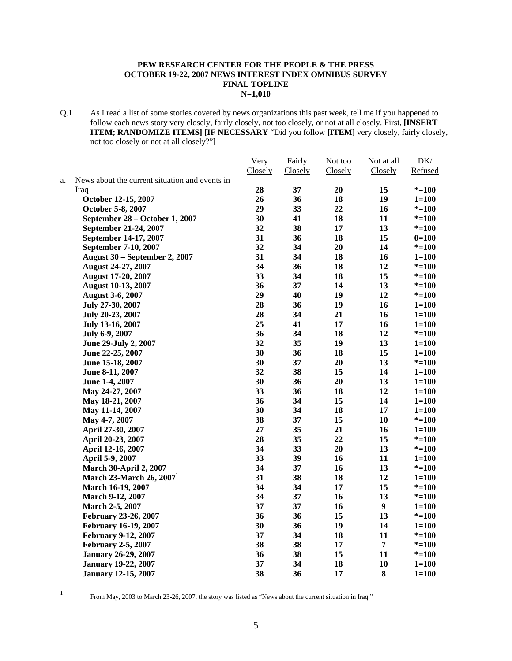#### **PEW RESEARCH CENTER FOR THE PEOPLE & THE PRESS OCTOBER 19-22, 2007 NEWS INTEREST INDEX OMNIBUS SURVEY FINAL TOPLINE N=1,010**

Q.1 As I read a list of some stories covered by news organizations this past week, tell me if you happened to follow each news story very closely, fairly closely, not too closely, or not at all closely. First, **[INSERT ITEM; RANDOMIZE ITEMS] [IF NECESSARY** "Did you follow **[ITEM]** very closely, fairly closely, not too closely or not at all closely?"**]**

|    |                                                | Very    | Fairly  | Not too | Not at all     | DK/       |
|----|------------------------------------------------|---------|---------|---------|----------------|-----------|
|    |                                                | Closely | Closely | Closely | Closely        | Refused   |
| a. | News about the current situation and events in |         |         |         |                |           |
|    | Iraq                                           | 28      | 37      | 20      | 15             | $* = 100$ |
|    | October 12-15, 2007                            | 26      | 36      | 18      | 19             | $1 = 100$ |
|    | October 5-8, 2007                              | 29      | 33      | 22      | 16             | $* = 100$ |
|    | September 28 – October 1, 2007                 | 30      | 41      | 18      | 11             | $* = 100$ |
|    | September 21-24, 2007                          | 32      | 38      | 17      | 13             | $* = 100$ |
|    | September 14-17, 2007                          | 31      | 36      | 18      | 15             | $0=100$   |
|    | September 7-10, 2007                           | 32      | 34      | 20      | 14             | $* = 100$ |
|    | <b>August 30 – September 2, 2007</b>           | 31      | 34      | 18      | 16             | $1 = 100$ |
|    | August 24-27, 2007                             | 34      | 36      | 18      | 12             | $* = 100$ |
|    | <b>August 17-20, 2007</b>                      | 33      | 34      | 18      | 15             | $* = 100$ |
|    | <b>August 10-13, 2007</b>                      | 36      | 37      | 14      | 13             | $* = 100$ |
|    | <b>August 3-6, 2007</b>                        | 29      | 40      | 19      | 12             | $* = 100$ |
|    | July 27-30, 2007                               | 28      | 36      | 19      | 16             | $1 = 100$ |
|    | July 20-23, 2007                               | 28      | 34      | 21      | 16             | $1 = 100$ |
|    | July 13-16, 2007                               | 25      | 41      | 17      | 16             | $1 = 100$ |
|    | July 6-9, 2007                                 | 36      | 34      | 18      | 12             | $* = 100$ |
|    | June 29-July 2, 2007                           | 32      | 35      | 19      | 13             | $1 = 100$ |
|    | June 22-25, 2007                               | 30      | 36      | 18      | 15             | $1 = 100$ |
|    | June 15-18, 2007                               | 30      | 37      | 20      | 13             | $* = 100$ |
|    | June 8-11, 2007                                | 32      | 38      | 15      | 14             | $1 = 100$ |
|    | June 1-4, 2007                                 | 30      | 36      | 20      | 13             | $1 = 100$ |
|    | May 24-27, 2007                                | 33      | 36      | 18      | 12             | $1 = 100$ |
|    | May 18-21, 2007                                | 36      | 34      | 15      | 14             | $1 = 100$ |
|    | May 11-14, 2007                                | 30      | 34      | 18      | 17             | $1 = 100$ |
|    | May 4-7, 2007                                  | 38      | 37      | 15      | 10             | $* = 100$ |
|    | April 27-30, 2007                              | $27\,$  | 35      | 21      | 16             | $1 = 100$ |
|    | April 20-23, 2007                              | 28      | 35      | 22      | 15             | $* = 100$ |
|    | April 12-16, 2007                              | 34      | 33      | 20      | 13             | $* = 100$ |
|    | April 5-9, 2007                                | 33      | 39      | 16      | 11             | $1 = 100$ |
|    | <b>March 30-April 2, 2007</b>                  | 34      | 37      | 16      | 13             | $* = 100$ |
|    | March 23-March 26, 2007 <sup>1</sup>           | 31      | 38      | 18      | 12             | $1 = 100$ |
|    | March 16-19, 2007                              | 34      | 34      | 17      | 15             | $* = 100$ |
|    | <b>March 9-12, 2007</b>                        | 34      | 37      | 16      | 13             | $* = 100$ |
|    | March 2-5, 2007                                | 37      | 37      | 16      | 9              | $1 = 100$ |
|    | February 23-26, 2007                           | 36      | 36      | 15      | 13             | $* = 100$ |
|    | February 16-19, 2007                           | 30      | 36      | 19      | 14             | $1 = 100$ |
|    | <b>February 9-12, 2007</b>                     | 37      | 34      | 18      | 11             | $* = 100$ |
|    | <b>February 2-5, 2007</b>                      | 38      | 38      | 17      | $\overline{7}$ | $* = 100$ |
|    | <b>January 26-29, 2007</b>                     | 36      | 38      | 15      | 11             | $* = 100$ |
|    | <b>January 19-22, 2007</b>                     | 37      | 34      | 18      | 10             | $1 = 100$ |
|    |                                                | 38      | 36      | 17      | $\bf{8}$       |           |
|    | <b>January 12-15, 2007</b>                     |         |         |         |                | $1 = 100$ |

 $\frac{1}{1}$ 

From May, 2003 to March 23-26, 2007, the story was listed as "News about the current situation in Iraq."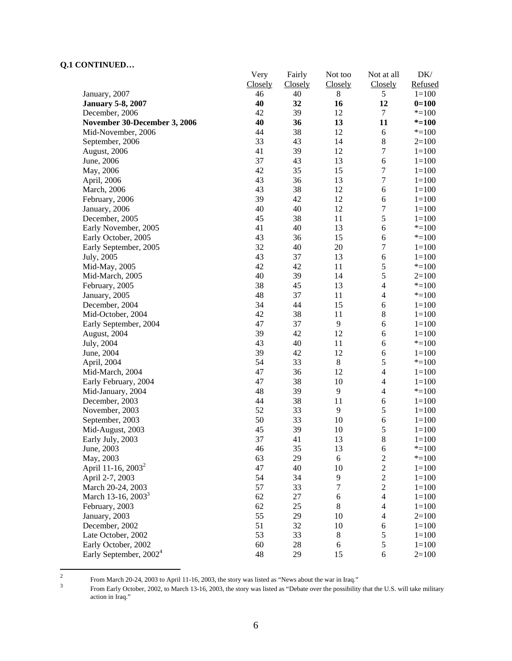|                                    | Very           | Fairly         | Not too        | Not at all               | DK/       |
|------------------------------------|----------------|----------------|----------------|--------------------------|-----------|
|                                    | <b>Closely</b> | <b>Closely</b> | <b>Closely</b> | <b>Closely</b>           | Refused   |
| January, 2007                      | 46             | 40             | 8              | 5                        | $1 = 100$ |
| <b>January 5-8, 2007</b>           | 40             | 32             | 16             | 12                       | $0=100$   |
| December, 2006                     | 42             | 39             | 12             | 7                        | $* = 100$ |
| November 30-December 3, 2006       | 40             | 36             | 13             | 11                       | $* = 100$ |
| Mid-November, 2006                 | 44             | 38             | 12             | $\sqrt{6}$               | $* = 100$ |
| September, 2006                    | 33             | 43             | 14             | $\,$ 8 $\,$              | $2=100$   |
| August, 2006                       | 41             | 39             | 12             | $\boldsymbol{7}$         | $1 = 100$ |
| June, 2006                         | 37             | 43             | 13             | 6                        | $1 = 100$ |
| May, 2006                          | 42             | 35             | 15             | $\boldsymbol{7}$         | $1 = 100$ |
| April, 2006                        | 43             | 36             | 13             | $\boldsymbol{7}$         | $1 = 100$ |
| March, 2006                        | 43             | 38             | 12             | 6                        | $1 = 100$ |
| February, 2006                     | 39             | 42             | 12             | 6                        | $1 = 100$ |
| January, 2006                      | 40             | 40             | 12             | $\boldsymbol{7}$         | $1 = 100$ |
| December, 2005                     | 45             | 38             | 11             | 5                        | $1 = 100$ |
| Early November, 2005               | 41             | 40             | 13             | 6                        | $* = 100$ |
| Early October, 2005                | 43             | 36             | 15             | 6                        | $* = 100$ |
| Early September, 2005              | 32             | 40             | 20             | $\sqrt{ }$               | $1 = 100$ |
| July, 2005                         | 43             | 37             | 13             | $\sqrt{6}$               | $1 = 100$ |
| Mid-May, 2005                      | 42             | 42             | 11             | 5                        | $* = 100$ |
| Mid-March, 2005                    | 40             | 39             | 14             | 5                        | $2=100$   |
| February, 2005                     | 38             | 45             | 13             | $\overline{\mathcal{L}}$ | $* = 100$ |
| January, 2005                      | 48             | 37             | 11             | $\overline{4}$           | $* = 100$ |
| December, 2004                     | 34             | 44             | 15             | 6                        | $1 = 100$ |
| Mid-October, 2004                  | 42             | 38             | 11             | $\,8\,$                  | $1 = 100$ |
| Early September, 2004              | 47             | 37             | 9              | 6                        | $1 = 100$ |
| August, 2004                       | 39             | 42             | 12             | 6                        | $1 = 100$ |
| July, 2004                         | 43             | 40             | 11             | $\sqrt{6}$               | $* = 100$ |
| June, 2004                         | 39             | 42             | 12             | 6                        | $1 = 100$ |
| April, 2004                        | 54             | 33             | $\,8\,$        | 5                        | $* = 100$ |
| Mid-March, 2004                    | 47             | 36             | 12             | $\overline{4}$           | $1 = 100$ |
| Early February, 2004               | 47             | 38             | 10             | $\overline{4}$           | $1 = 100$ |
| Mid-January, 2004                  | 48             | 39             | 9              | $\overline{4}$           | $* = 100$ |
| December, 2003                     | 44             | 38             | 11             | 6                        | $1 = 100$ |
| November, 2003                     | 52             | 33             | 9              | 5                        | $1=100$   |
| September, 2003                    | 50             | 33             | 10             | 6                        | $1 = 100$ |
| Mid-August, 2003                   | 45             | 39             | 10             | 5                        | $1 = 100$ |
| Early July, 2003                   | 37             | 41             | 13             | 8                        | $1 = 100$ |
| June, 2003                         | 46             | 35             | 13             | 6                        | $* = 100$ |
| May, 2003                          | 63             | 29             | $\sqrt{6}$     | $\overline{c}$           | $* = 100$ |
| April 11-16, 2003 <sup>2</sup>     | 47             | 40             | 10             | $\overline{c}$           | $1 = 100$ |
| April 2-7, 2003                    | 54             | 34             | 9              | $\overline{2}$           | $1 = 100$ |
| March 20-24, 2003                  | 57             | 33             | $\sqrt{ }$     | $\overline{c}$           | $1 = 100$ |
| March 13-16, 2003 <sup>3</sup>     | 62             | $27\,$         | $\sqrt{6}$     | $\overline{4}$           | $1 = 100$ |
| February, 2003                     | 62             | 25             | $\,8\,$        | $\overline{4}$           | $1 = 100$ |
| January, 2003                      | 55             | 29             | 10             | $\overline{4}$           | $2=100$   |
| December, 2002                     | 51             | 32             | 10             | 6                        | $1 = 100$ |
| Late October, 2002                 | 53             | 33             | 8              | $\sqrt{5}$               | $1 = 100$ |
|                                    | 60             | 28             |                | 5                        | $1 = 100$ |
| Early October, 2002                |                |                | 6              |                          |           |
| Early September, 2002 <sup>4</sup> | 48             | 29             | 15             | 6                        | $2=100$   |

 $\frac{1}{2}$ From March 20-24, 2003 to April 11-16, 2003, the story was listed as "News about the war in Iraq."  $\frac{3}{2}$  From Early October 2002, to March 13, 16, 2003, the story was listed as "Debate over the possibility

From Early October, 2002, to March 13-16, 2003, the story was listed as "Debate over the possibility that the U.S. will take military action in Iraq."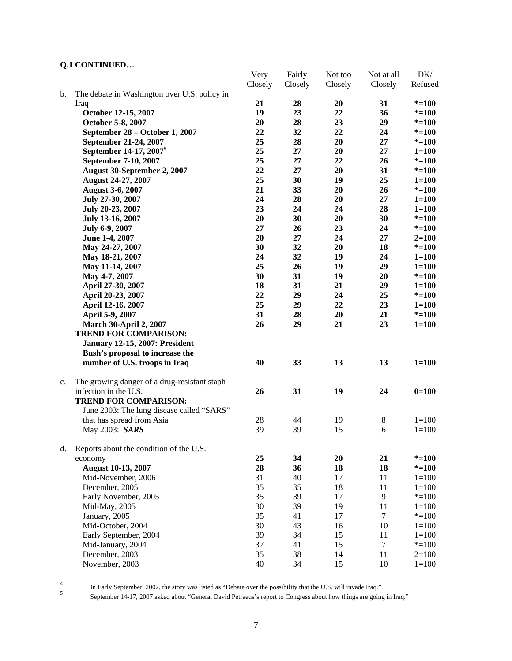|    |                                              | Very    | Fairly  | Not too  | Not at all | DK/       |
|----|----------------------------------------------|---------|---------|----------|------------|-----------|
|    |                                              | Closely | Closely | Closely  | Closely    | Refused   |
| b. | The debate in Washington over U.S. policy in |         |         |          |            |           |
|    | Iraq                                         | 21      | 28      | 20       | 31         | $* = 100$ |
|    | October 12-15, 2007                          | 19      | 23      | 22       | 36         | $* = 100$ |
|    | October 5-8, 2007                            | 20      | 28      | 23       | 29         | $* = 100$ |
|    | September 28 – October 1, 2007               | 22      | 32      | 22       | 24         | $* = 100$ |
|    | September 21-24, 2007                        | 25      | 28      | 20       | 27         | $* = 100$ |
|    | September 14-17, 2007 <sup>5</sup>           | 25      | 27      | 20       | 27         | $1 = 100$ |
|    | September 7-10, 2007                         | 25      | 27      | 22       | 26         | $* = 100$ |
|    | August 30-September 2, 2007                  | 22      | 27      | 20       | 31         | $* = 100$ |
|    | <b>August 24-27, 2007</b>                    | 25      | 30      | 19       | 25         | $1 = 100$ |
|    | <b>August 3-6, 2007</b>                      | 21      | 33      | 20       | 26         | $* = 100$ |
|    | July 27-30, 2007                             | 24      | 28      | 20       | 27         | $1 = 100$ |
|    | July 20-23, 2007                             | 23      | 24      | 24       | 28         | $1 = 100$ |
|    | July 13-16, 2007                             | 20      | 30      | 20       | 30         | $* = 100$ |
|    | July 6-9, 2007                               | 27      | 26      | 23       | 24         | $* = 100$ |
|    | June 1-4, 2007                               | 20      | 27      | 24       | 27         | $2 = 100$ |
|    | May 24-27, 2007                              | 30      | 32      | 20       | 18         | $* = 100$ |
|    | May 18-21, 2007                              | 24      | 32      | 19       | 24         | $1 = 100$ |
|    | May 11-14, 2007                              | 25      | 26      | 19       | 29         | $1 = 100$ |
|    | May 4-7, 2007                                | 30      | 31      | 19       | 20         | $* = 100$ |
|    | April 27-30, 2007                            | 18      | 31      | 21       | 29         | $1 = 100$ |
|    | April 20-23, 2007                            | 22      | 29      | 24       | 25         | $* = 100$ |
|    | April 12-16, 2007                            | 25      | 29      | 22       | 23         | $1 = 100$ |
|    | April 5-9, 2007                              | 31      | 28      | 20       | 21         | $* = 100$ |
|    | <b>March 30-April 2, 2007</b>                | 26      | 29      | 21       | 23         | $1 = 100$ |
|    | <b>TREND FOR COMPARISON:</b>                 |         |         |          |            |           |
|    | <b>January 12-15, 2007: President</b>        |         |         |          |            |           |
|    | Bush's proposal to increase the              |         |         |          |            |           |
|    | number of U.S. troops in Iraq                | 40      | 33      | 13       | 13         | $1 = 100$ |
|    |                                              |         |         |          |            |           |
| c. | The growing danger of a drug-resistant staph |         |         |          |            |           |
|    | infection in the U.S.                        | 26      | 31      | 19       | 24         | $0=100$   |
|    | <b>TREND FOR COMPARISON:</b>                 |         |         |          |            |           |
|    | June 2003: The lung disease called "SARS"    |         |         |          |            |           |
|    | that has spread from Asia                    | $28\,$  | 44      | 19       | $\,8\,$    | $1 = 100$ |
|    | May 2003: SARS                               | 39      | 39      | 15       | 6          | $1 = 100$ |
| d. | Reports about the condition of the U.S.      |         |         |          |            |           |
|    | economy                                      | 25      | 34      | 20       | 21         | $* = 100$ |
|    | <b>August 10-13, 2007</b>                    | 28      | 36      | 18       | 18         | $* = 100$ |
|    | Mid-November, 2006                           | 31      | 40      | 17       | 11         | $1 = 100$ |
|    | December, 2005                               | 35      | 35      | 18       | 11         | $1 = 100$ |
|    | Early November, 2005                         | 35      | 39      | 17       | 9          | $* = 100$ |
|    | Mid-May, 2005                                | 30      | 39      | 19       | 11         | $1 = 100$ |
|    | January, 2005                                | 35      | 41      | 17       | $\tau$     | $* = 100$ |
|    | Mid-October, 2004                            | 30      | 43      | 16       | 10         | $1 = 100$ |
|    |                                              | 39      | 34      | 15       | 11         | $1 = 100$ |
|    | Early September, 2004                        | 37      | 41      |          | $\tau$     |           |
|    | Mid-January, 2004                            | 35      | 38      | 15<br>14 | 11         | $* = 100$ |
|    | December, 2003                               |         |         |          |            | $2=100$   |
|    | November, 2003                               | 40      | 34      | 15       | 10         | $1 = 100$ |
|    |                                              |         |         |          |            |           |

In Early September, 2002, the story was listed as "Debate over the possibility that the U.S. will invade Iraq."<br>September 14.17, 2007 select the U.S. will Betracus's generate Concernse about hour things are going

September 14-17, 2007 asked about "General David Petraeus's report to Congress about how things are going in Iraq."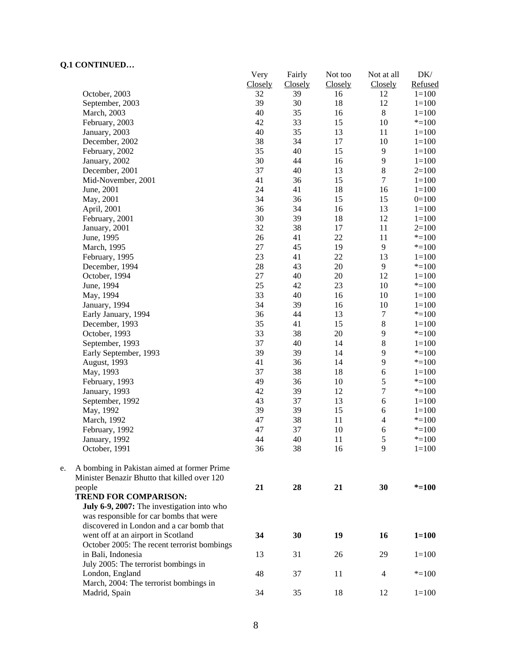|    | CORTER CED                                   | Very    | Fairly  | Not too | Not at all              | DK/       |
|----|----------------------------------------------|---------|---------|---------|-------------------------|-----------|
|    |                                              | Closely | Closely | Closely | Closely                 | Refused   |
|    | October, 2003                                | 32      | 39      | 16      | 12                      | $1 = 100$ |
|    | September, 2003                              | 39      | 30      | 18      | 12                      | $1 = 100$ |
|    | March, 2003                                  | 40      | 35      | 16      | $\,8\,$                 | $1 = 100$ |
|    | February, 2003                               | 42      | 33      | 15      | 10                      | $* = 100$ |
|    | January, 2003                                | 40      | 35      | 13      | 11                      | $1 = 100$ |
|    | December, 2002                               | 38      | 34      | 17      | 10                      | $1 = 100$ |
|    | February, 2002                               | 35      | 40      | 15      | $\overline{9}$          | $1 = 100$ |
|    | January, 2002                                | 30      | 44      | 16      | 9                       | $1 = 100$ |
|    | December, 2001                               | 37      | 40      | 13      | $8\,$                   | $2=100$   |
|    | Mid-November, 2001                           | 41      | 36      | 15      | $\overline{7}$          | $1 = 100$ |
|    | June, 2001                                   | 24      | 41      | 18      | 16                      | $1 = 100$ |
|    | May, 2001                                    | 34      | 36      | 15      | 15                      | $0=100$   |
|    | April, 2001                                  | 36      | 34      | 16      | 13                      | $1 = 100$ |
|    | February, 2001                               | 30      | 39      | 18      | 12                      | $1 = 100$ |
|    | January, 2001                                | 32      | 38      | 17      | 11                      | $2=100$   |
|    | June, 1995                                   | 26      | 41      | 22      | 11                      | $* = 100$ |
|    | March, 1995                                  | $27\,$  | 45      | 19      | 9                       | $* = 100$ |
|    | February, 1995                               | 23      | 41      | 22      | 13                      | $1 = 100$ |
|    | December, 1994                               | 28      | 43      | $20\,$  | 9                       | $* = 100$ |
|    | October, 1994                                | $27\,$  | 40      | $20\,$  | 12                      | $1 = 100$ |
|    | June, 1994                                   | 25      | 42      | 23      | 10                      | $* = 100$ |
|    | May, 1994                                    | 33      | 40      | 16      | 10                      | $1 = 100$ |
|    | January, 1994                                | 34      | 39      | 16      | 10                      | $1 = 100$ |
|    | Early January, 1994                          | 36      | 44      | 13      | $\tau$                  | $* = 100$ |
|    | December, 1993                               | 35      | 41      | 15      | $8\,$                   | $1 = 100$ |
|    | October, 1993                                | 33      | 38      | $20\,$  | 9                       | $* = 100$ |
|    | September, 1993                              | 37      | 40      | 14      | $8\,$                   | $1 = 100$ |
|    | Early September, 1993                        | 39      | 39      | 14      | 9                       | $* = 100$ |
|    | August, 1993                                 | 41      | 36      | 14      | 9                       | $* = 100$ |
|    |                                              | 37      | 38      | 18      | 6                       | $1 = 100$ |
|    | May, 1993                                    | 49      |         |         | 5                       |           |
|    | February, 1993                               |         | 36      | 10      | $\tau$                  | $* = 100$ |
|    | January, 1993                                | 42      | 39      | 12      |                         | $* = 100$ |
|    | September, 1992                              | 43      | 37      | 13      | $\epsilon$              | $1 = 100$ |
|    | May, 1992                                    | 39      | 39      | 15      | 6                       | $1 = 100$ |
|    | March, 1992                                  | 47      | 38      | 11      | $\overline{\mathbf{4}}$ | $* = 100$ |
|    | February, 1992                               | 47      | 37      | $10\,$  | 6                       | $* = 100$ |
|    | January, 1992                                | 44      | 40      | 11      | 5                       | $* = 100$ |
|    | October, 1991                                | 36      | 38      | 16      | 9                       | $1 = 100$ |
| e. | A bombing in Pakistan aimed at former Prime  |         |         |         |                         |           |
|    | Minister Benazir Bhutto that killed over 120 |         |         |         |                         |           |
|    | people                                       | 21      | 28      | 21      | 30                      | $* = 100$ |
|    | <b>TREND FOR COMPARISON:</b>                 |         |         |         |                         |           |
|    | July 6-9, 2007: The investigation into who   |         |         |         |                         |           |
|    | was responsible for car bombs that were      |         |         |         |                         |           |
|    | discovered in London and a car bomb that     |         |         |         |                         |           |
|    | went off at an airport in Scotland           | 34      | 30      | 19      | 16                      | $1 = 100$ |
|    | October 2005: The recent terrorist bombings  |         |         |         |                         |           |
|    | in Bali, Indonesia                           | 13      | 31      | 26      | 29                      | $1 = 100$ |
|    | July 2005: The terrorist bombings in         |         |         |         |                         |           |
|    |                                              | 48      |         |         |                         |           |
|    | London, England                              |         | 37      | 11      | 4                       | $* = 100$ |
|    | March, 2004: The terrorist bombings in       |         |         |         |                         |           |
|    | Madrid, Spain                                | 34      | 35      | 18      | 12                      | $1 = 100$ |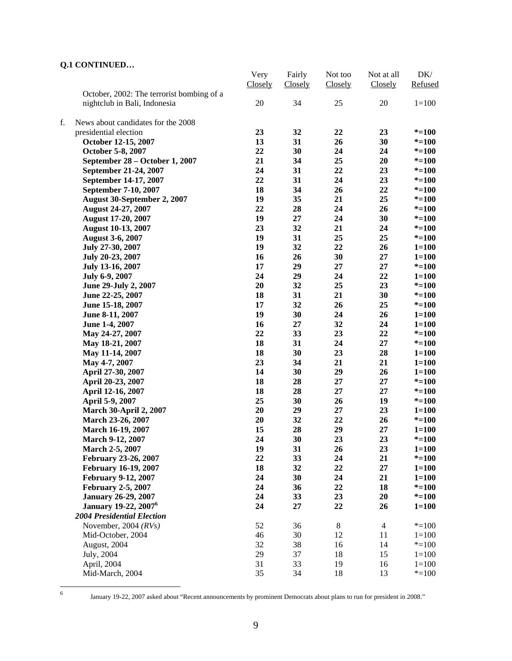|    |                                           | Very    | Fairly  | Not too | Not at all     | DK/       |
|----|-------------------------------------------|---------|---------|---------|----------------|-----------|
|    |                                           | Closely | Closely | Closely | Closely        | Refused   |
|    | October, 2002: The terrorist bombing of a |         |         |         |                |           |
|    | nightclub in Bali, Indonesia              | 20      | 34      | 25      | 20             | $1 = 100$ |
|    |                                           |         |         |         |                |           |
| f. | News about candidates for the 2008        |         |         |         |                |           |
|    | presidential election                     | 23      | 32      | 22      | 23             | $* = 100$ |
|    | October 12-15, 2007                       | 13      | 31      | 26      | 30             | $* = 100$ |
|    | October 5-8, 2007                         | 22      | 30      | 24      | 24             | $* = 100$ |
|    | September 28 – October 1, 2007            | 21      | 34      | 25      | 20             | $* = 100$ |
|    | September 21-24, 2007                     | 24      | 31      | 22      | 23             | $* = 100$ |
|    | September 14-17, 2007                     | 22      | 31      | 24      | 23             | $* = 100$ |
|    | September 7-10, 2007                      | 18      | 34      | 26      | 22             | $* = 100$ |
|    | August 30-September 2, 2007               | 19      | 35      | 21      | 25             | $* = 100$ |
|    | <b>August 24-27, 2007</b>                 | 22      | 28      | 24      | 26             | $* = 100$ |
|    | <b>August 17-20, 2007</b>                 | 19      | 27      | 24      | 30             | $* = 100$ |
|    | <b>August 10-13, 2007</b>                 | 23      | 32      | 21      | 24             | $* = 100$ |
|    | <b>August 3-6, 2007</b>                   | 19      | 31      | 25      | 25             | $* = 100$ |
|    | July 27-30, 2007                          | 19      | 32      | 22      | 26             | $1 = 100$ |
|    | July 20-23, 2007                          | 16      | 26      | 30      | 27             | $1 = 100$ |
|    | July 13-16, 2007                          | 17      | 29      | 27      | 27             | $* = 100$ |
|    | July 6-9, 2007                            | 24      | 29      | 24      | 22             | $1 = 100$ |
|    | June 29-July 2, 2007                      | 20      | 32      | 25      | 23             | $* = 100$ |
|    | June 22-25, 2007                          | 18      | 31      | 21      | 30             | $* = 100$ |
|    | June 15-18, 2007                          | 17      | 32      | 26      | 25             | $* = 100$ |
|    | June 8-11, 2007                           | 19      | 30      | 24      | 26             | $1 = 100$ |
|    |                                           | 16      | 27      | 32      | 24             | $1 = 100$ |
|    | June 1-4, 2007                            | 22      | 33      | 23      | 22             | $* = 100$ |
|    | May 24-27, 2007                           |         |         |         |                |           |
|    | May 18-21, 2007                           | 18      | 31      | 24      | 27             | $* = 100$ |
|    | May 11-14, 2007                           | 18      | 30      | 23      | 28             | $1 = 100$ |
|    | May 4-7, 2007                             | 23      | 34      | 21      | 21             | $1 = 100$ |
|    | April 27-30, 2007                         | 14      | 30      | 29      | 26             | $1 = 100$ |
|    | April 20-23, 2007                         | 18      | 28      | 27      | 27             | $* = 100$ |
|    | April 12-16, 2007                         | 18      | 28      | 27      | 27             | $* = 100$ |
|    | April 5-9, 2007                           | 25      | 30      | 26      | 19             | $* = 100$ |
|    | <b>March 30-April 2, 2007</b>             | 20      | 29      | 27      | 23             | $1 = 100$ |
|    | March 23-26, 2007                         | 20      | 32      | 22      | 26             | $* = 100$ |
|    | March 16-19, 2007                         | 15      | 28      | 29      | 27             | $1 = 100$ |
|    | <b>March 9-12, 2007</b>                   | 24      | 30      | 23      | 23             | $* = 100$ |
|    | <b>March 2-5, 2007</b>                    | 19      | 31      | 26      | 23             | $1 = 100$ |
|    | February 23-26, 2007                      | 22      | 33      | 24      | 21             | $* = 100$ |
|    | <b>February 16-19, 2007</b>               | 18      | 32      | 22      | 27             | $1 = 100$ |
|    | <b>February 9-12, 2007</b>                | 24      | 30      | 24      | 21             | $1 = 100$ |
|    | <b>February 2-5, 2007</b>                 | 24      | 36      | 22      | 18             | $* = 100$ |
|    | <b>January 26-29, 2007</b>                | 24      | 33      | 23      | 20             | $* = 100$ |
|    | <b>January 19-22, 2007<sup>6</sup></b>    | 24      | 27      | 22      | 26             | $1 = 100$ |
|    | <b>2004 Presidential Election</b>         |         |         |         |                |           |
|    | November, 2004 $(RVs)$                    | 52      | 36      | 8       | $\overline{4}$ | $* = 100$ |
|    | Mid-October, 2004                         | 46      | 30      | 12      | 11             | $1 = 100$ |
|    | August, 2004                              | 32      | 38      | 16      | 14             | $* = 100$ |
|    | July, 2004                                | 29      | 37      | 18      | 15             | $1 = 100$ |
|    | April, 2004                               | 31      | 33      | 19      | 16             | $1 = 100$ |
|    | Mid-March, 2004                           | 35      | 34      | 18      | 13             | $* = 100$ |

6

January 19-22, 2007 asked about "Recent announcements by prominent Democrats about plans to run for president in 2008."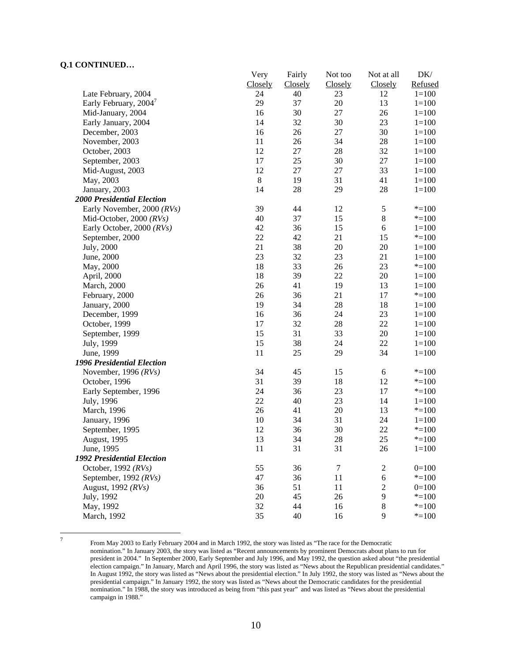|                                   | Very        | Fairly  | Not too | Not at all     | DK/       |
|-----------------------------------|-------------|---------|---------|----------------|-----------|
|                                   | Closely     | Closely | Closely | Closely        | Refused   |
| Late February, 2004               | 24          | 40      | 23      | 12             | $1 = 100$ |
| Early February, 2004              | 29          | 37      | 20      | 13             | $1 = 100$ |
| Mid-January, 2004                 | 16          | 30      | 27      | 26             | $1 = 100$ |
| Early January, 2004               | 14          | 32      | 30      | 23             | $1 = 100$ |
| December, 2003                    | 16          | 26      | $27\,$  | 30             | $1 = 100$ |
| November, 2003                    | 11          | 26      | 34      | 28             | $1 = 100$ |
| October, 2003                     | 12          | $27\,$  | 28      | 32             | $1 = 100$ |
| September, 2003                   | 17          | 25      | 30      | 27             | $1 = 100$ |
| Mid-August, 2003                  | 12          | $27\,$  | 27      | 33             | $1 = 100$ |
| May, 2003                         | $\,$ 8 $\,$ | 19      | 31      | 41             | $1 = 100$ |
| January, 2003                     | 14          | 28      | 29      | 28             | $1 = 100$ |
| <b>2000 Presidential Election</b> |             |         |         |                |           |
| Early November, 2000 (RVs)        | 39          | 44      | 12      | $\mathfrak s$  | $* = 100$ |
| Mid-October, 2000 $(RVs)$         | 40          | 37      | 15      | $8\,$          | $* = 100$ |
| Early October, 2000 (RVs)         | 42          | 36      | 15      | 6              | $1 = 100$ |
| September, 2000                   | 22          | 42      | 21      | 15             | $* = 100$ |
| July, 2000                        | 21          | 38      | 20      | 20             | $1 = 100$ |
| June, 2000                        | 23          | 32      | 23      | 21             | $1 = 100$ |
| May, 2000                         | 18          | 33      | 26      | 23             | $* = 100$ |
| April, 2000                       | 18          | 39      | 22      | 20             | $1 = 100$ |
| March, 2000                       | 26          | 41      | 19      | 13             | $1 = 100$ |
| February, 2000                    | 26          | 36      | 21      | 17             | $* = 100$ |
| January, 2000                     | 19          | 34      | 28      | 18             | $1 = 100$ |
| December, 1999                    | 16          | 36      | 24      | 23             | $1 = 100$ |
| October, 1999                     | 17          | 32      | 28      | 22             | $1 = 100$ |
| September, 1999                   | 15          | 31      | 33      | 20             | $1 = 100$ |
| July, 1999                        | 15          | 38      | 24      | 22             | $1 = 100$ |
| June, 1999                        | 11          | 25      | 29      | 34             | $1 = 100$ |
| 1996 Presidential Election        |             |         |         |                |           |
| November, 1996 $(RVs)$            | 34          | 45      | 15      | 6              | $* = 100$ |
| October, 1996                     | 31          | 39      | 18      | 12             | $* = 100$ |
| Early September, 1996             | 24          | 36      | 23      | 17             | $* = 100$ |
| July, 1996                        | 22          | 40      | 23      | 14             | $1 = 100$ |
| March, 1996                       | 26          | 41      | 20      | 13             | $* = 100$ |
| January, 1996                     | 10          | 34      | 31      | 24             | $1 = 100$ |
| September, 1995                   | 12          | 36      | 30      | 22             | $* = 100$ |
| August, 1995                      | 13          | 34      | 28      | 25             | $* = 100$ |
| June, 1995                        | 11          | 31      | 31      | 26             | $1 = 100$ |
| 1992 Presidential Election        |             |         |         |                |           |
| October, 1992 (RVs)               | 55          | 36      | $\tau$  | $\mathbf{2}$   | $0=100$   |
| September, 1992 $(RVs)$           | 47          | 36      | 11      | 6              | $* = 100$ |
| August, 1992 (RVs)                | 36          | 51      | 11      | $\overline{c}$ | $0=100$   |
| July, 1992                        | 20          | 45      | 26      | 9              | $* = 100$ |
| May, 1992                         | 32          | 44      | 16      | $8\,$          | $* = 100$ |
| March, 1992                       | 35          | 40      | 16      | 9              | $* = 100$ |
|                                   |             |         |         |                |           |

-<br>7

 From May 2003 to Early February 2004 and in March 1992, the story was listed as "The race for the Democratic nomination." In January 2003, the story was listed as "Recent announcements by prominent Democrats about plans to run for president in 2004." In September 2000, Early September and July 1996, and May 1992, the question asked about "the presidential election campaign." In January, March and April 1996, the story was listed as "News about the Republican presidential candidates." In August 1992, the story was listed as "News about the presidential election." In July 1992, the story was listed as "News about the presidential campaign." In January 1992, the story was listed as "News about the Democratic candidates for the presidential nomination." In 1988, the story was introduced as being from "this past year" and was listed as "News about the presidential campaign in 1988."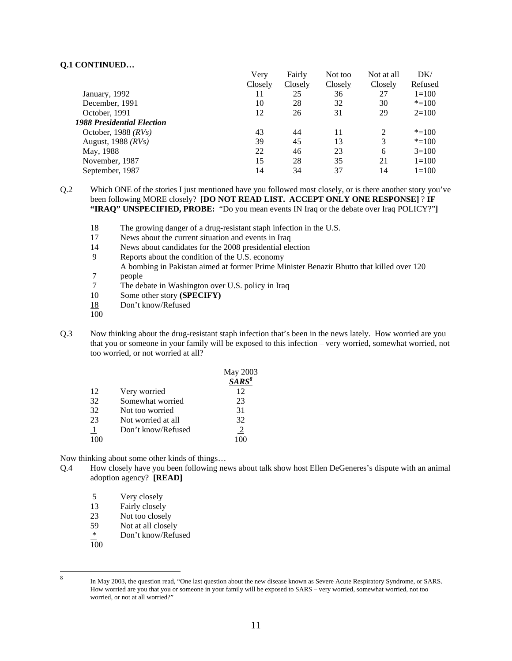|                                   | Very    | Fairly  | Not too | Not at all     | DK/       |
|-----------------------------------|---------|---------|---------|----------------|-----------|
|                                   | Closely | Closely | Closely | Closely        | Refused   |
| January, 1992                     | 11      | 25      | 36      | 27             | $1 = 100$ |
| December, 1991                    | 10      | 28      | 32      | 30             | $* = 100$ |
| October, 1991                     | 12      | 26      | 31      | 29             | $2=100$   |
| <b>1988 Presidential Election</b> |         |         |         |                |           |
| October, 1988 $(RVs)$             | 43      | 44      | 11      | $\mathfrak{D}$ | $* = 100$ |
| August, $1988$ ( $RVs$ )          | 39      | 45      | 13      | 3              | $* = 100$ |
| May, 1988                         | 22      | 46      | 23      | 6              | $3=100$   |
| November, 1987                    | 15      | 28      | 35      | 21             | $1=100$   |
| September, 1987                   | 14      | 34      | 37      | 14             | $1=100$   |

Q.2 Which ONE of the stories I just mentioned have you followed most closely, or is there another story you've been following MORE closely? [**DO NOT READ LIST. ACCEPT ONLY ONE RESPONSE]** ? **IF "IRAQ" UNSPECIFIED, PROBE:** "Do you mean events IN Iraq or the debate over Iraq POLICY?"**]**

- 18 The growing danger of a drug-resistant staph infection in the U.S.
- 17 News about the current situation and events in Iraq
- 14 News about candidates for the 2008 presidential election
- 9 Reports about the condition of the U.S. economy
- A bombing in Pakistan aimed at former Prime Minister Benazir Bhutto that killed over 120
- 7 people<br>7 The del
- 7 The debate in Washington over U.S. policy in Iraq<br>10 Some other story (SPECIFY)
- Some other story **(SPECIFY)**
- 18 Don't know/Refused
- 100
- Q.3 Now thinking about the drug-resistant staph infection that's been in the news lately. How worried are you that you or someone in your family will be exposed to this infection – very worried, somewhat worried, not too worried, or not worried at all?

|    |                    | May 2003 |
|----|--------------------|----------|
|    |                    | $SARS^8$ |
| 12 | Very worried       | 12       |
| 32 | Somewhat worried   | 23       |
| 32 | Not too worried    | 31       |
| 23 | Not worried at all | 32       |
|    | Don't know/Refused | 2        |
|    |                    |          |

Now thinking about some other kinds of things…

- Q.4 How closely have you been following news about talk show host Ellen DeGeneres's dispute with an animal adoption agency? **[READ]**
	- 5 Very closely
	- 13 Fairly closely
	- 23 Not too closely<br>59 Not at all closel
	- Not at all closely
	- \* Don't know/Refused
	- 100

8

In May 2003, the question read, "One last question about the new disease known as Severe Acute Respiratory Syndrome, or SARS. How worried are you that you or someone in your family will be exposed to SARS – very worried, somewhat worried, not too worried, or not at all worried?"